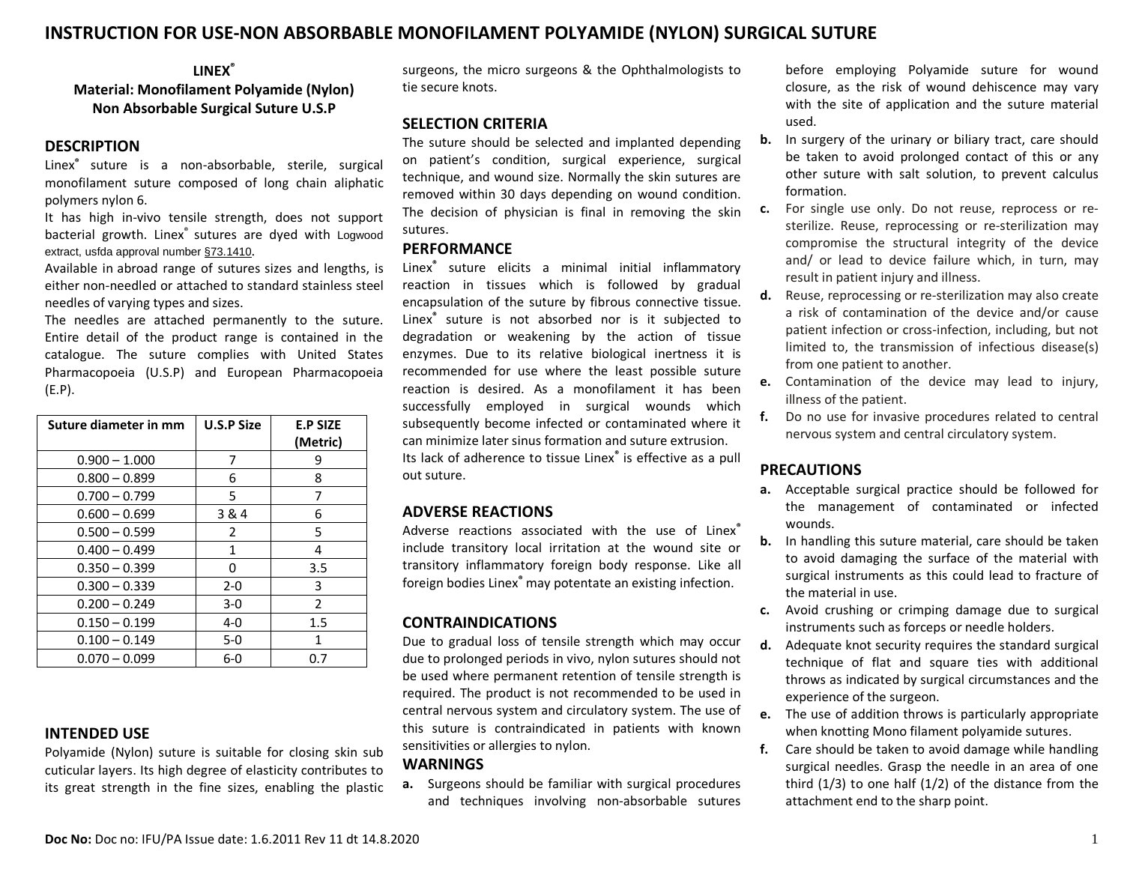## **INSTRUCTION FOR USE-NON ABSORBABLE MONOFILAMENT POLYAMIDE (NYLON) SURGICAL SUTURE**

### **LINEX®**

## **Material: Monofilament Polyamide (Nylon) Non Absorbable Surgical Suture U.S.P**

#### **DESCRIPTION**

Linex**®** suture is a non-absorbable, sterile, surgical monofilament suture composed of long chain aliphatic polymers nylon 6.

It has high in-vivo tensile strength, does not support bacterial growth. Linex® sutures are dyed with Logwood extract, usfda approval number [§73.1410](http://www.ecfr.gov/cgi-bin/retrieveECFR?gp=&SID=17723345ba7c363ef25a68e9776aa2cd&r=PART&n=21y1.0.1.1.27#21:1.0.1.1.27.2.31.23).

Available in abroad range of sutures sizes and lengths, is either non-needled or attached to standard stainless steel needles of varying types and sizes.

The needles are attached permanently to the suture. Entire detail of the product range is contained in the catalogue. The suture complies with United States Pharmacopoeia (U.S.P) and European Pharmacopoeia (E.P).

| Suture diameter in mm | <b>U.S.P Size</b> | <b>E.P SIZE</b><br>(Metric) |
|-----------------------|-------------------|-----------------------------|
| $0.900 - 1.000$       | 7                 | 9                           |
| $0.800 - 0.899$       | 6                 | 8                           |
| $0.700 - 0.799$       | 5                 | 7                           |
| $0.600 - 0.699$       | 3 & 4             | 6                           |
| $0.500 - 0.599$       | 2                 | 5                           |
| $0.400 - 0.499$       | $\mathbf{1}$      | 4                           |
| $0.350 - 0.399$       | 0                 | 3.5                         |
| $0.300 - 0.339$       | $2 - 0$           | 3                           |
| $0.200 - 0.249$       | 3-0               | $\mathcal{P}$               |
| $0.150 - 0.199$       | 4-0               | 1.5                         |
| $0.100 - 0.149$       | $5-0$             | 1                           |
| $0.070 - 0.099$       | 6-0               | 0.7                         |

#### **INTENDED USE**

Polyamide (Nylon) suture is suitable for closing skin sub cuticular layers. Its high degree of elasticity contributes to its great strength in the fine sizes, enabling the plastic surgeons, the micro surgeons & the Ophthalmologists to tie secure knots.

#### **SELECTION CRITERIA**

The suture should be selected and implanted depending on patient's condition, surgical experience, surgical technique, and wound size. Normally the skin sutures are removed within 30 days depending on wound condition. The decision of physician is final in removing the skin sutures.

#### **PERFORMANCE**

Linex**®** suture elicits a minimal initial inflammatory reaction in tissues which is followed by gradual encapsulation of the suture by fibrous connective tissue. Linex**®** suture is not absorbed nor is it subjected to degradation or weakening by the action of tissue enzymes. Due to its relative biological inertness it is recommended for use where the least possible suture reaction is desired. As a monofilament it has been successfully employed in surgical wounds which subsequently become infected or contaminated where it can minimize later sinus formation and suture extrusion. Its lack of adherence to tissue Linex**®** is effective as a pull out suture.

#### **ADVERSE REACTIONS**

Adverse reactions associated with the use of Linex**®** include transitory local irritation at the wound site or transitory inflammatory foreign body response. Like all foreign bodies Linex**®** may potentate an existing infection.

### **CONTRAINDICATIONS**

Due to gradual loss of tensile strength which may occur due to prolonged periods in vivo, nylon sutures should not be used where permanent retention of tensile strength is required. The product is not recommended to be used in central nervous system and circulatory system. The use of this suture is contraindicated in patients with known sensitivities or allergies to nylon.

#### **WARNINGS**

**a.** Surgeons should be familiar with surgical procedures and techniques involving non-absorbable sutures

before employing Polyamide suture for wound closure, as the risk of wound dehiscence may vary with the site of application and the suture material used.

- **b.** In surgery of the urinary or biliary tract, care should be taken to avoid prolonged contact of this or any other suture with salt solution, to prevent calculus formation.
- **c.** For single use only. Do not reuse, reprocess or resterilize. Reuse, reprocessing or re-sterilization may compromise the structural integrity of the device and/ or lead to device failure which, in turn, may result in patient injury and illness.
- **d.** Reuse, reprocessing or re-sterilization may also create a risk of contamination of the device and/or cause patient infection or cross-infection, including, but not limited to, the transmission of infectious disease(s) from one patient to another.
- **e.** Contamination of the device may lead to injury, illness of the patient.
- **f.** Do no use for invasive procedures related to central nervous system and central circulatory system.

### **PRECAUTIONS**

- **a.** Acceptable surgical practice should be followed for the management of contaminated or infected wounds.
- **b.** In handling this suture material, care should be taken to avoid damaging the surface of the material with surgical instruments as this could lead to fracture of the material in use.
- **c.** Avoid crushing or crimping damage due to surgical instruments such as forceps or needle holders.
- **d.** Adequate knot security requires the standard surgical technique of flat and square ties with additional throws as indicated by surgical circumstances and the experience of the surgeon.
- **e.** The use of addition throws is particularly appropriate when knotting Mono filament polyamide sutures.
- **f.** Care should be taken to avoid damage while handling surgical needles. Grasp the needle in an area of one third  $(1/3)$  to one half  $(1/2)$  of the distance from the attachment end to the sharp point.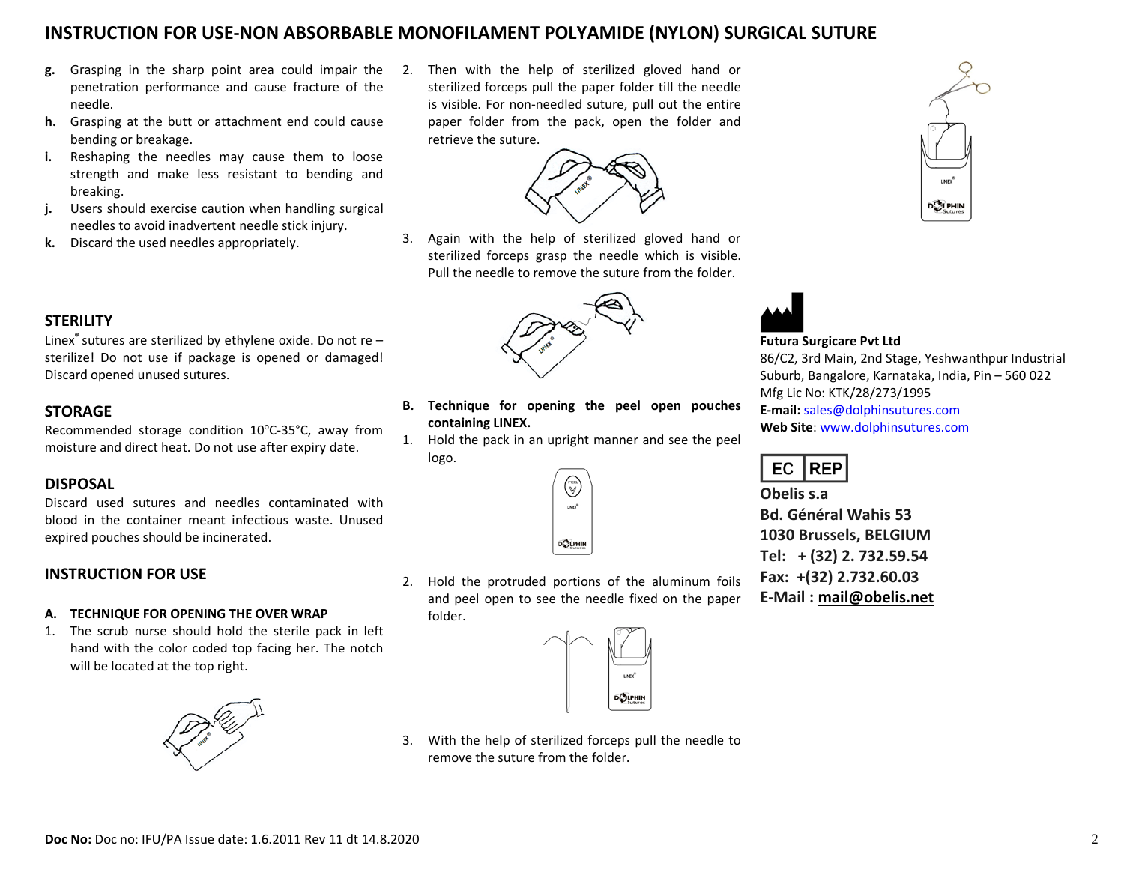# **INSTRUCTION FOR USE-NON ABSORBABLE MONOFILAMENT POLYAMIDE (NYLON) SURGICAL SUTURE**

- **g.** Grasping in the sharp point area could impair the penetration performance and cause fracture of the needle.
- **h.** Grasping at the butt or attachment end could cause bending or breakage.
- **i.** Reshaping the needles may cause them to loose strength and make less resistant to bending and breaking.
- **j.** Users should exercise caution when handling surgical needles to avoid inadvertent needle stick injury.
- **k.** Discard the used needles appropriately.

Then with the help of sterilized gloved hand or sterilized forceps pull the paper folder till the needle is visible. For non-needled suture, pull out the entire paper folder from the pack, open the folder and retrieve the suture.



3. Again with the help of sterilized gloved hand or sterilized forceps grasp the needle which is visible. Pull the needle to remove the suture from the folder.



**B. Technique for opening the peel open pouches**

1. Hold the pack in an upright manner and see the peel

(w)<br>V  $unc<sup>*</sup>$ 

DOLPHIN

**containing LINEX.**

logo.

## **STERILITY**

Linex**®** sutures are sterilized by ethylene oxide. Do not re – sterilize! Do not use if package is opened or damaged! Discard opened unused sutures.

## **STORAGE**

Recommended storage condition 10°C-35°C, away from moisture and direct heat. Do not use after expiry date.

## **DISPOSAL**

Discard used sutures and needles contaminated with blood in the container meant infectious waste. Unused expired pouches should be incinerated.

## **INSTRUCTION FOR USE**

#### **A. TECHNIQUE FOR OPENING THE OVER WRAP**

1. The scrub nurse should hold the sterile pack in left hand with the color coded top facing her. The notch will be located at the top right.



2. Hold the protruded portions of the aluminum foils and peel open to see the needle fixed on the paper folder.



3. With the help of sterilized forceps pull the needle to remove the suture from the folder.



### **Futura Surgicare Pvt Ltd**

86/C2, 3rd Main, 2nd Stage, Yeshwanthpur Industrial Suburb, Bangalore, Karnataka, India, Pin – 560 022 Mfg Lic No: KTK/28/273/1995 **E-mail:** [sales@dolphinsutures.com](mailto:sales@dolphinsutures.com) **Web Site**: [www.dolphinsutures.com](http://www.dolphinsutures.com/)

**DOLPHIN** 

#### EC **REP**

**Obelis s.a Bd. Général Wahis 53 1030 Brussels, BELGIUM Tel: + (32) 2. 732.59.54 Fax: +(32) 2.732.60.03 E-Mail : [mail@obelis.net](mailto:mail@obelis.net)**